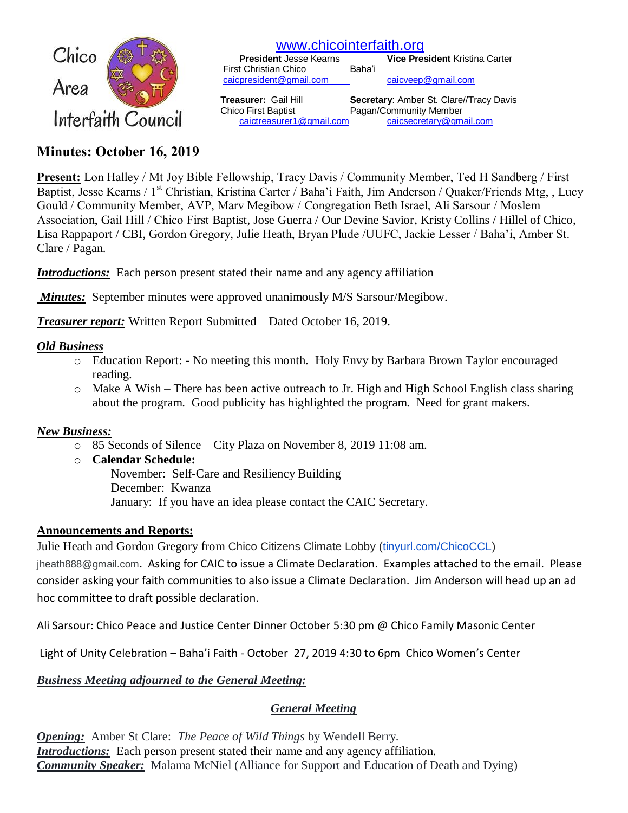

# [www.chicointerfaith.org](file:///C:/Users/CSL/Downloads/www.chicointerfaith.org)<br>President Jesse Kearns Vice Pres

**Vice President Kristina Carter**  First Christian Chico Baha'i [caicpresident@gmail.com](mailto:caicpresident@gmail.com) [caicveep@gmail.com](mailto:caicveep@gmail.com)

[caictreasurer1@gmail.com](mailto:caictreasurer1@gmail.com)

 **Treasurer:** Gail Hill **Secretary**: Amber St. Clare//Tracy Davis Chico First Baptist Pagan/Community Member<br>caictreasurer1@gmail.com caicsecretary@gmail.com

# **Minutes: October 16, 2019**

**Present:** Lon Halley / Mt Joy Bible Fellowship, Tracy Davis / Community Member, Ted H Sandberg / First Baptist, Jesse Kearns / 1<sup>st</sup> Christian, Kristina Carter / Baha'i Faith, Jim Anderson / Quaker/Friends Mtg, , Lucy Gould / Community Member, AVP, Marv Megibow / Congregation Beth Israel, Ali Sarsour / Moslem Association, Gail Hill / Chico First Baptist, Jose Guerra / Our Devine Savior, Kristy Collins / Hillel of Chico, Lisa Rappaport / CBI, Gordon Gregory, Julie Heath, Bryan Plude /UUFC, Jackie Lesser / Baha'i, Amber St. Clare / Pagan.

*Introductions:* Each person present stated their name and any agency affiliation

*Minutes:* September minutes were approved unanimously M/S Sarsour/Megibow.

*Treasurer report:* Written Report Submitted – Dated October 16, 2019.

# *Old Business*

- o Education Report: No meeting this month. Holy Envy by Barbara Brown Taylor encouraged reading.
- o Make A Wish There has been active outreach to Jr. High and High School English class sharing about the program. Good publicity has highlighted the program. Need for grant makers.

#### *New Business:*

- o 85 Seconds of Silence City Plaza on November 8, 2019 11:08 am.
- o **Calendar Schedule:** November: Self-Care and Resiliency Building December: Kwanza January: If you have an idea please contact the CAIC Secretary.

#### **Announcements and Reports:**

Julie Heath and Gordon Gregory from Chico Citizens Climate Lobby [\(tinyurl.com/ChicoCCL\)](http://tinyurl.com/ChicoCCL)

[jheath888@gmail.com](mailto:jheath888@gmail.com). Asking for CAIC to issue a Climate Declaration. Examples attached to the email. Please consider asking your faith communities to also issue a Climate Declaration. Jim Anderson will head up an ad hoc committee to draft possible declaration.

Ali Sarsour: Chico Peace and Justice Center Dinner October 5:30 pm @ Chico Family Masonic Center

Light of Unity Celebration – Baha'i Faith - October 27, 2019 4:30 to 6pm Chico Women's Center

# *Business Meeting adjourned to the General Meeting:*

# *General Meeting*

*Opening:* Amber St Clare: *The Peace of Wild Things* by Wendell Berry. *Introductions:* Each person present stated their name and any agency affiliation. *Community Speaker:* Malama McNiel (Alliance for Support and Education of Death and Dying)